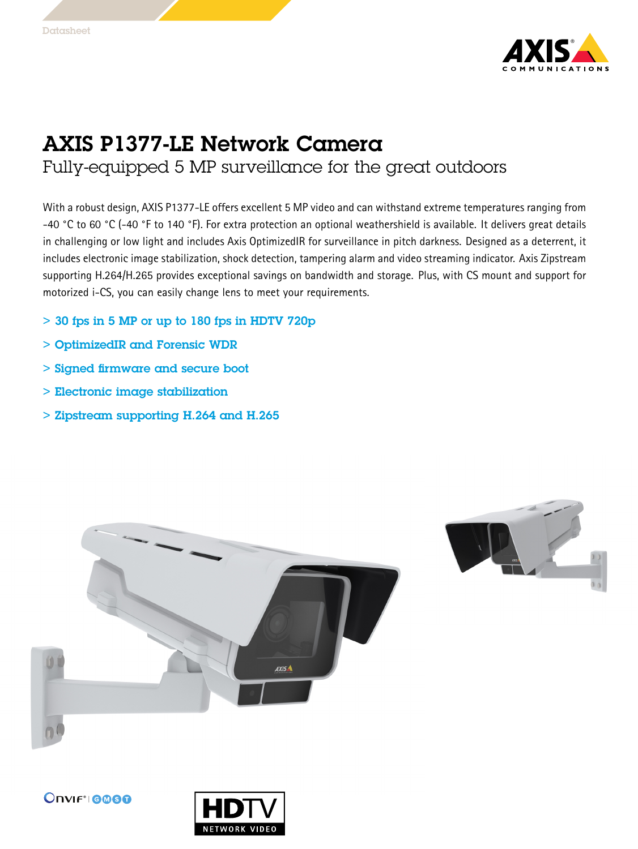

## AXIS P1377-LE Network Camera

Fully-equipped 5 MP surveillance for the great outdoors

With <sup>a</sup> robust design, AXIS P1377-LE offers excellent 5 MP video and can withstand extreme temperatures ranging from -40 °C to 60 °C (-40 °F to 140 °F). For extra protection an optional weathershield is available. It delivers great details in challenging or low light and includes Axis OptimizedIR for surveillance in pitch darkness. Designed as <sup>a</sup> deterrent, it includes electronic image stabilization, shock detection, tampering alarm and video streaming indicator. Axis Zipstream supporting H.264/H.265 provides exceptional savings on bandwidth and storage. Plus, with CS mount and support for motorized i-CS, you can easily change lens to meet your requirements.

- $>$  30 fps in 5 MP or up to 180 fps in HDTV 720p
- > OptimizedIR and Forensic WDR
- > Signed firmware and secure boot
- > Electronic image stabilization
- > Zipstream supporting H.264 and H.265





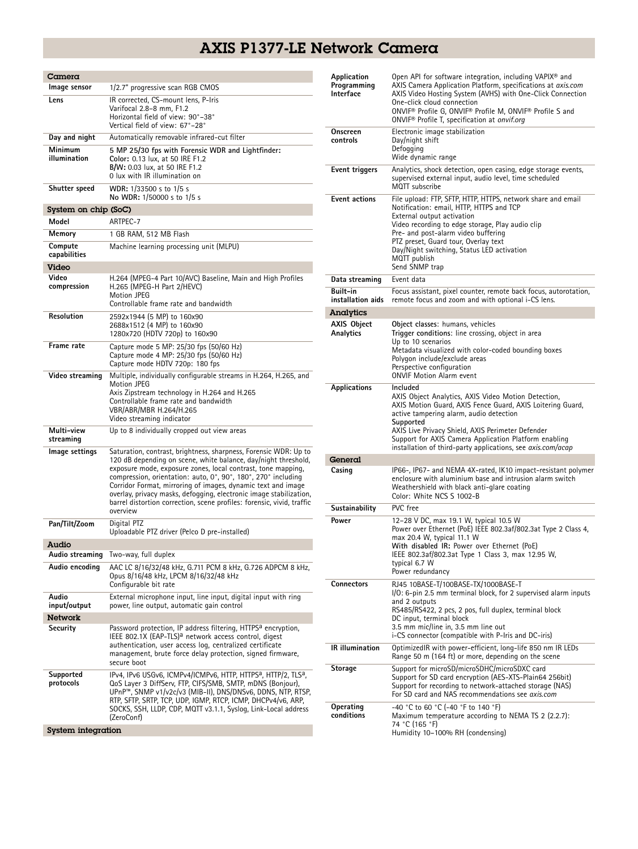## AXIS P1377-LE Network Camera

| Camera                  |                                                                                                                                                                                                                                                                                                                                                                                                                                                                                                 |
|-------------------------|-------------------------------------------------------------------------------------------------------------------------------------------------------------------------------------------------------------------------------------------------------------------------------------------------------------------------------------------------------------------------------------------------------------------------------------------------------------------------------------------------|
| Image sensor            | 1/2.7" progressive scan RGB CMOS                                                                                                                                                                                                                                                                                                                                                                                                                                                                |
| Lens                    | IR corrected, CS-mount lens, P-Iris<br>Varifocal 2.8-8 mm, F1.2<br>Horizontal field of view: 90°–38°<br>Vertical field of view: 67°-28°                                                                                                                                                                                                                                                                                                                                                         |
| Day and night           | Automatically removable infrared-cut filter                                                                                                                                                                                                                                                                                                                                                                                                                                                     |
| Minimum<br>illumination | 5 MP 25/30 fps with Forensic WDR and Lightfinder:<br>Color: 0.13 lux, at 50 IRE F1.2<br>B/W: 0.03 lux, at 50 IRE F1.2<br>0 lux with IR illumination on                                                                                                                                                                                                                                                                                                                                          |
| Shutter speed           | WDR: 1/33500 s to 1/5 s<br>No WDR: 1/50000 s to 1/5 s                                                                                                                                                                                                                                                                                                                                                                                                                                           |
| System on chip (SoC)    |                                                                                                                                                                                                                                                                                                                                                                                                                                                                                                 |
| Model                   | ARTPEC-7                                                                                                                                                                                                                                                                                                                                                                                                                                                                                        |
| Memory                  | 1 GB RAM, 512 MB Flash                                                                                                                                                                                                                                                                                                                                                                                                                                                                          |
| Compute<br>capabilities | Machine learning processing unit (MLPU)                                                                                                                                                                                                                                                                                                                                                                                                                                                         |
| Video<br>Video          |                                                                                                                                                                                                                                                                                                                                                                                                                                                                                                 |
| compression             | H.264 (MPEG-4 Part 10/AVC) Baseline, Main and High Profiles<br>H.265 (MPEG-H Part 2/HEVC)<br><b>Motion JPEG</b><br>Controllable frame rate and bandwidth                                                                                                                                                                                                                                                                                                                                        |
| Resolution              | 2592x1944 (5 MP) to 160x90<br>2688x1512 (4 MP) to 160x90<br>1280x720 (HDTV 720p) to 160x90                                                                                                                                                                                                                                                                                                                                                                                                      |
| Frame rate              | Capture mode 5 MP: 25/30 fps (50/60 Hz)<br>Capture mode 4 MP: 25/30 fps (50/60 Hz)<br>Capture mode HDTV 720p: 180 fps                                                                                                                                                                                                                                                                                                                                                                           |
| Video streaming         | Multiple, individually configurable streams in H.264, H.265, and<br>Motion JPEG<br>Axis Zipstream technology in H.264 and H.265<br>Controllable frame rate and bandwidth<br>VBR/ABR/MBR H.264/H.265<br>Video streaming indicator                                                                                                                                                                                                                                                                |
| Multi-view<br>streaming | Up to 8 individually cropped out view areas                                                                                                                                                                                                                                                                                                                                                                                                                                                     |
| Image settings          | Saturation, contrast, brightness, sharpness, Forensic WDR: Up to<br>120 dB depending on scene, white balance, day/night threshold,<br>exposure mode, exposure zones, local contrast, tone mapping,<br>compression, orientation: auto, 0°, 90°, 180°, 270° including<br>Corridor Format, mirroring of images, dynamic text and image<br>overlay, privacy masks, defogging, electronic image stabilization,<br>barrel distortion correction, scene profiles: forensic, vivid, traffic<br>overview |
| Pan/Tilt/Zoom           | Digital PTZ<br>Uploadable PTZ driver (Pelco D pre-installed)                                                                                                                                                                                                                                                                                                                                                                                                                                    |
| Audio                   |                                                                                                                                                                                                                                                                                                                                                                                                                                                                                                 |
| Audio streaming         | Two-way, full duplex                                                                                                                                                                                                                                                                                                                                                                                                                                                                            |
| Audio encoding          | AAC LC 8/16/32/48 kHz, G.711 PCM 8 kHz, G.726 ADPCM 8 kHz,<br>Opus 8/16/48 kHz, LPCM 8/16/32/48 kHz<br>Configurable bit rate                                                                                                                                                                                                                                                                                                                                                                    |
| Audio<br>input/output   | External microphone input, line input, digital input with ring<br>power, line output, automatic gain control                                                                                                                                                                                                                                                                                                                                                                                    |
| <b>Network</b>          |                                                                                                                                                                                                                                                                                                                                                                                                                                                                                                 |
| Security                | Password protection, IP address filtering, HTTPS <sup>a</sup> encryption,<br>IEEE 802.1X (EAP-TLS) <sup>a</sup> network access control, digest<br>authentication, user access log, centralized certificate<br>management, brute force delay protection, signed firmware,<br>secure boot                                                                                                                                                                                                         |
| Supported<br>protocols  | IPv4, IPv6 USGv6, ICMPv4/ICMPv6, HTTP, HTTPS <sup>a</sup> , HTTP/2, TLS <sup>a</sup> ,<br>QoS Layer 3 DiffServ, FTP, CIFS/SMB, SMTP, mDNS (Bonjour),<br>UPnP™, SNMP v1/v2c/v3 (MIB-II), DNS/DNSv6, DDNS, NTP, RTSP,<br>RTP, SFTP, SRTP, TCP, UDP, IGMP, RTCP, ICMP, DHCPv4/v6, ARP,<br>SOCKS, SSH, LLDP, CDP, MQTT v3.1.1, Syslog, Link-Local address<br>(ZeroConf)                                                                                                                             |
| System integration      |                                                                                                                                                                                                                                                                                                                                                                                                                                                                                                 |

| Application<br>Programming<br><b>Interface</b> | Open API for software integration, including VAPIX <sup>®</sup> and<br>AXIS Camera Application Platform, specifications at <i>axis.com</i><br>AXIS Video Hosting System (AVHS) with One-Click Connection<br>One-click cloud connection<br>ONVIF® Profile G, ONVIF® Profile M, ONVIF® Profile S and<br>ONVIF <sup>®</sup> Profile T, specification at onvif.org            |
|------------------------------------------------|---------------------------------------------------------------------------------------------------------------------------------------------------------------------------------------------------------------------------------------------------------------------------------------------------------------------------------------------------------------------------|
| Onscreen<br>controls                           | Electronic image stabilization<br>Day/night shift<br>Defogging<br>Wide dynamic range                                                                                                                                                                                                                                                                                      |
| Event triggers                                 | Analytics, shock detection, open casing, edge storage events,<br>supervised external input, audio level, time scheduled<br>MOTT subscribe                                                                                                                                                                                                                                 |
| <b>Event actions</b>                           | File upload: FTP, SFTP, HTTP, HTTPS, network share and email<br>Notification: email, HTTP, HTTPS and TCP<br>External output activation<br>Video recording to edge storage, Play audio clip<br>Pre- and post-alarm video buffering<br>PTZ preset, Guard tour, Overlay text<br>Day/Night switching, Status LED activation<br>MQTT publish<br>Send SNMP trap                 |
| Data streaming                                 | Event data                                                                                                                                                                                                                                                                                                                                                                |
| Built-in<br>installation aids                  | Focus assistant, pixel counter, remote back focus, autorotation,<br>remote focus and zoom and with optional i-CS lens.                                                                                                                                                                                                                                                    |
| Analytics                                      |                                                                                                                                                                                                                                                                                                                                                                           |
| <b>AXIS Object</b><br>Analytics                | Object classes: humans, vehicles<br>Trigger conditions: line crossing, object in area<br>Up to 10 scenarios<br>Metadata visualized with color-coded bounding boxes<br>Polygon include/exclude areas<br>Perspective configuration<br><b>ONVIF Motion Alarm event</b>                                                                                                       |
| Applications                                   | Included<br>AXIS Object Analytics, AXIS Video Motion Detection,<br>AXIS Motion Guard, AXIS Fence Guard, AXIS Loitering Guard,<br>active tampering alarm, audio detection<br>Supported<br>AXIS Live Privacy Shield, AXIS Perimeter Defender<br>Support for AXIS Camera Application Platform enabling<br>installation of third-party applications, see <i>axis.com/acap</i> |
| General                                        |                                                                                                                                                                                                                                                                                                                                                                           |
| Casing                                         | IP66-, IP67- and NEMA 4X-rated, IK10 impact-resistant polymer<br>enclosure with aluminium base and intrusion alarm switch<br>Weathershield with black anti-glare coating<br>Color: White NCS S 1002-B                                                                                                                                                                     |
| Sustainability                                 | PVC free                                                                                                                                                                                                                                                                                                                                                                  |
| Power                                          | 12-28 V DC, max 19.1 W, typical 10.5 W<br>Power over Ethernet (PoE) IEEE 802.3af/802.3at Type 2 Class 4,<br>max 20.4 W, typical 11.1 W<br>With disabled IR: Power over Ethernet (PoE)<br>IEEE 802.3af/802.3at Type 1 Class 3, max 12.95 W,<br>typical 6.7 W<br>Power redundancy                                                                                           |
| <b>Connectors</b>                              | RJ45 10BASE-T/100BASE-TX/1000BASE-T<br>I/O: 6-pin 2.5 mm terminal block, for 2 supervised alarm inputs<br>and 2 outputs<br>RS485/RS422, 2 pcs, 2 pos, full duplex, terminal block<br>DC input, terminal block<br>3.5 mm mic/line in, 3.5 mm line out<br>i-CS connector (compatible with P-Iris and DC-iris)                                                               |
| <b>IR</b> illumination                         | OptimizedIR with power-efficient, long-life 850 nm IR LEDs<br>Range 50 m (164 ft) or more, depending on the scene                                                                                                                                                                                                                                                         |
| Storage                                        | Support for microSD/microSDHC/microSDXC card<br>Support for SD card encryption (AES-XTS-Plain64 256bit)<br>Support for recording to network-attached storage (NAS)<br>For SD card and NAS recommendations see axis.com                                                                                                                                                    |
| Operating<br>conditions                        | -40 °C to 60 °C (-40 °F to 140 °F)<br>Maximum temperature according to NEMA TS 2 (2.2.7):<br>74 °C (165 °F)<br>Humidity 10–100% RH (condensing)                                                                                                                                                                                                                           |